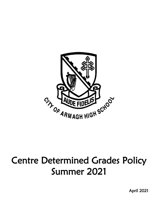

# Centre Determined Grades Policy Summer 2021

April 2021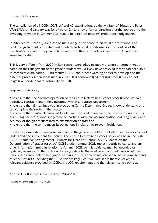#### Context & Rationale

The cancellation of all CCEA GCSE, AS and A2 examinations by the Minister of Education, Peter Weir MLA, on 6 January was followed on 2 March by a formal direction that the approach to the awarding of grades in Summer 2021 would be based on teachers' professional judgements.

In 2021 centres (schools) are asked to use a range of evidence to arrive at a professional and academic judgement of the standard at which each pupil is performing in the context of the specification for which they are entered and from this to provide a grade to CCEA and other awarding bodies.

This is very different from 2020, when centres were asked to supply a centre assessment grade based on their judgement of the grade a student would likely have achieved if they had been able to complete examinations. This requires CCEA and other awarding bodies to develop and use different processes than those used in 2020. It is acknowledged that this process places a not insignificant additional responsibility on staff.

Purpose of this policy:

• to ensure that the effective operation of the Centre Determined Grades process produces fair, objective, consistent and timely outcomes within and across departments;

• to ensure that all staff involved in producing Centre Determined Grades know, understand and can complete their roles in the process

• to ensure that Centre Determined Grades are produced in line with the process as published by JCQ, using the professional judgement of teachers, with internal moderation, ensuring quality and accuracy of the grades submitted to examination boards; and

• to ensure that the centre meets its obligations in relation to relevant legislation.

It is the responsibility of everyone involved in the generation of Centre Determined Grades to read, understand and implement this policy. The Centre Determined Grades policy will be in line with CCEA Alternative Arrangements – Process for Heads of Centre, JCQ Guidance on the Determination of grades for A, AS, GCSE grades summer 2021, subject specific guidance and any other information issued in relation to Summer 2021. As this guidance may be amended or updated, references in this policy will always relate to the most recently issued version. All staff involved in centre determined grades will support the implementation of alternative arrangements as set out by JCQ, including the CCEA review stage. Staff will familiarise themselves with all relevant guidance provided by CCEA, the JCQ requirements and the relevant centre policies.

Adopted by Board of Governors on 22/04/2021

Issued to staff on 23/04/2021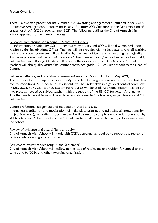There is a five-step process for the Summer 2021 awarding arrangements as outlined in the CCEA Alternative Arrangements – Process for Heads of Centre/ JCQ Guidance on the Determination of grades for A, AS, GCSE grades summer 2021. The following outlines the City of Armagh High School approach to the five-step process.

## Guidance and information readiness (March, April 2021)

All information provided by CCEA, other awarding bodies and JCQ will be disseminated upon receipt by the Examinations Officer. Training will be provided via the Lead assessors to all teaching staff and a process overview will be detailed by the Head of Centre to all teaching staff. Quality Assurance processes will be put into place via Subject Leader Team / Senior Leadership Team (SLT) link teachers and all subject leaders will propose their evidence to SLT link teachers. SLT link teachers will also quality assure final centre determined grades. SLT will report back to the Head of Centre.

#### Evidence gathering and provision of assessment resource (March, April and May 2021)

The centre will afford pupils the opportunity to undertake progress review assessments in high level control conditions. A further set of assessments will be undertaken in high level control conditions in May 2021. For CCEA courses, assessment resources will be used. Additional sessions will be put into place as needed by subject teachers with the support of the SENCO for Access Arrangements. All other available evidence will be collated and documented by teachers, subject leaders and SLT link teachers.

## Centre professional judgement and moderation (April and May)

Internal standardisation and moderation will take place prior to and following all assessments by subject teachers. Qualification procedure day 1 will be used to complete and check moderation by SLT link teachers. Subject teachers and SLT link teachers will consider bias and performance across the cohort.

#### Review of evidence and award (June and July)

City of Armagh High School will work with CCEA personnel as required to support the review of centre evidence and grade outcomes.

#### Post-Award review service (August and September)

City of Armagh High School will, following the issue of results, make provision for appeal to the centre and to CCEA and other awarding organisations.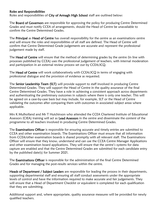#### Roles and Responsibilities

Roles and responsibilities of City of Armagh High School staff are outlined below:

The Board of Governors are responsible for approving the policy for producing Centre Determined Grades and must notify CCEA of arrangements, should the Head of Centre be unavailable to confirm the Centre Determined Grades.

The Principal as Head of Centre has overall responsibility for the centre as an examinations centre and will ensure the roles and responsibilities of all staff are defined. The Head of Centre will confirm that Centre Determined Grade judgements are accurate and represent the professional judgement made by staff.

The **Head of Centre** will ensure that the method of determining grades by the centre (in line with processes published by CCEA) uses the professional judgement of teachers, with internal moderation and participation in an external review process set out by CCEA/JCQ.

The Head of Centre will work collaboratively with CCEA/JCQ in terms of engaging with professional dialogue and the provision of evidence as requested.

The Senior Leadership Team (SLT) will provide support to staff involved in producing Centre Determined Grades. They will support the Head of Centre in the quality assurance of the final Centre Determined Grades. They have a role in achieving a consistent approach across departments and authenticating the preliminary outcomes in subjects where there is only one teacher. This will be agreed on a case-by-case basis but may include, for example, SLT or the Head of Centre validating the outcomes after comparing them with outcomes in associated subject areas where applicable.

Mrs K Mulholland and Mr T Hutchinson who attended the CCEA Chartered Institute of Educational Assessors (CIEA) training will act as Lead Assessors in the centre and disseminate the content of the programme to all teachers involved in producing Centre Determined Grades.

The Examinations Officer is responsible for ensuring accurate and timely entries are submitted to CCEA and other examination boards. The Examinations Officer must ensure that all information from CCEA/other examination boards is shared promptly with all relevant staff. The Examinations Officer will ensure that they know, understand and can use the CCEA Centre Manager Applications and other examination board applications. They will ensure that the centre's systems for data capture are enabled and that the Centre Determined Grades are submitted for each candidate entry by the published date(s) for Summer 2021.

The Examinations Officer is responsible for the administration of the final Centre Determined Grades and for managing the post-results services within the centre.

Heads of Department / Subject Leaders are responsible for leading the process in their departments, supporting departmental staff and ensuring all staff conduct assessments under the appropriate levels of control and have the information required to make accurate and fair judgements. They will ensure that a Head of Department Checklist or equivalent is completed for each qualification that they are submitting.

Additional support and, where appropriate, quality assurance measures will be provided for newly qualified teachers.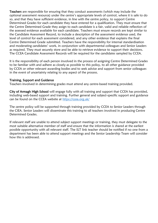Teachers are responsible for ensuring that they conduct assessments (which may include the optional assessment resource) under the centre's appropriate levels of control, where it is safe to do so, and that they have sufficient evidence, in line with the centre policy, to support Centre Determined Grades for each candidate they have entered for a qualification. They must ensure that the Centre Determined Grade they assign to each candidate is a fair, valid and reliable reflection of the assessed evidence available for each candidate. Teachers must ensure records are kept similar to the Candidate Assessment Record, to include a description of the assessment evidence used, the level of control for each assessment considered, and any other evidence that explains the final Centre Determined Grade submitted. Teachers have the responsibility for internal standardisation and moderating candidates' work, in conjunction with departmental colleagues and Senior Leaders as required. They must securely store and be able to retrieve evidence to support their decisions. The CCEA Candidate Assessment Records will be required for the candidates sampled by CCEA.

It is the responsibility of each person involved in the process of assigning Centre Determined Grades to be familiar with and adhere as closely as possible to this policy, to all other guidance provided by CCEA or other relevant awarding bodies and to seek advice and support from senior colleagues in the event of uncertainty relating to any aspect of the process.

#### Training, Support and Guidance

Teachers involved in determining grades must attend any centre-based training provided.

City of Armagh High School will engage fully with all training and support that CCEA has provided, including web-based support and training. Further general and subject-specific support and guidance can be found on the CCEA website at<https://ccea.org.uk/>

The centre policy will be supported through training provided by CCEA to Senior Leaders through the CIEA. Senior Leaders will disseminate this training to all teachers involved in producing Centre Determined Grades.

If relevant staff are unable to attend subject support meetings or training, they must delegate to the most suitable alternative member of staff and ensure that the information is shared at the earliest possible opportunity with all relevant staff. The SLT link teacher should be notified if no one from a department has been able to attend support meetings and the Senior Leadership Team will consider how this is addressed.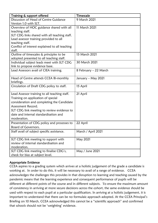| Training & support offered                               | Timescale             |
|----------------------------------------------------------|-----------------------|
| Discussion of Head of Centre Guidance                    | 9 March 2021          |
| Version 1.0 with SLT.                                    |                       |
| Overview of HOC guidance shared with all                 | 11 March 2021         |
| teaching staff.                                          |                       |
| SLT CDG links shared with all teaching staff.            |                       |
| Lead assessor training provided to all                   |                       |
| teaching staff.                                          |                       |
| Conflict of interest explained to all teaching<br>staff. |                       |
| Outline of timescales & principles to be                 | 15 March 2021         |
| adopted presented to all teaching staff.                 |                       |
| Individual subject leads meet with SLT CDG               | 30 March 2021         |
| link to propose evidence base.                           |                       |
| Lead Assessors avail of CIEA training.                   | 8 February – 22 March |
|                                                          |                       |
| Head of Centre attends CCEA Bi-monthly                   | January – May 2021    |
| briefings.                                               |                       |
| Circulation of Draft CDG policy to staff.                | 15 April              |
| Lead Assessor training to all teaching staff.            | 21 April              |
| Training on application of special                       |                       |
| consideration and completing the Candidate               |                       |
| Assessment Record.                                       |                       |
| SLT CDG link meeting to review evidence to               |                       |
| date and internal standardisation and                    |                       |
| moderation.                                              |                       |
| Presentation of CDG policy and processes to              | 22 April              |
| Board of Governors.                                      |                       |
| Staff avail of subject specific assistance.              | March / April 2021    |
|                                                          |                       |
| SLT CDG link meeting to support with                     | May 2021              |
| review of internal standardisation and                   |                       |
| moderation.                                              |                       |
| SLT CDG link meeting to finalise CDG's,                  | May / June 2021       |
| check for bias at subject level.                         |                       |

## Appropriate Evidence

CCEA aspires to a grading system which arrives at a holistic judgement of the grade a candidate is working at. In order to do this, it will be necessary to avail of a range of evidence. CCEA acknowledges the challenges this provides in that disruption to learning and teaching caused by the pandemic means that the learning experience and consequent performance of pupils will be different at different points of the course and in different subjects. To ensure the maximum amount of consistency in arriving at more secure decisions across the cohort, the same evidence should be used with respect to each pupil at a particular qualification. In arriving at a holistic judgement, it is important to understand that there can be no formulaic approach adopted. At the CCEA Principal's Briefing on 10 March, CCEA acknowledged this cannot be a "scientific approach" and confirmed that schools should not be 'weighting' evidence.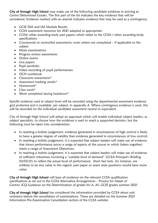City of Armagh High School may make use of the following candidate evidence in arriving at Centre Determined Grades. The first part of the list indicates the key evidence that will be considered. Evidence marked with an asterisk indicates evidence that may be used as a contingency:

- GCSE DAS and SAS Module Results
- CCEA assessment resources for 2021 adapted as appropriate
- CCEA/ other awarding body past papers which relate to the CCEA / other awarding body specifications
- Coursework or controlled assessments, even where not completed if applicable to the subject
- Mock examinations
- Progress review assessments
- Online exams
- Live papers
- Pupil portfolio
- Video recording of pupil performances
- OCN workbook
- Classroom assessments\*
- Assessment tracking results\*
- Homework\*
- Class work\*
- Work completed during lockdown\*

Specific evidence used at subject level will be recorded using the departmental assessment evidence grid proforma and is available, per subject, in appendix A. Where contingency evidence is used, this will be recorded on the individual candidate assessment record or equivalent.

City of Armagh High School will adopt an approach which will enable individual subject leaders, as subject specialists, to choose how the evidence is used to reach a supported decision, but the following must be taken into consideration:

- In reaching a holistic judgement, evidence generated in circumstances of high control is likely to have a greater degree of validity than evidence generated in circumstances of low control;
- In reaching a holistic judgement, it is expected that subject leaders will make use of evidence that shows performance across a range of aspects of the course or which (taken together) meets a range of Assessment Objectives;
- In reaching a holistic judgement, it is expected that subject leaders will make use of evidence of sufficient robustness involving a "suitable level of demand" (CCEA Principal's Briefing 03/03/21) to reflect the actual level of performance. Short fact tests, for instance, are unlikely to be any value in this regard; past paper or exam style questions would have more value.

City of Armagh High School will base all evidence on the relevant CCEA qualification specifications as set out in the CCEA Alternative Arrangements – Process for Heads of Centre/ JCQ Guidance on the Determination of grades for A, AS, GCSE grades summer 2021.

City of Armagh High School has considered the information provided by CCEA about unit omissions before the cancellation of examinations. These are detailed on the Summer 2021 Information Pre-Examination Cancellation section of the CCEA website.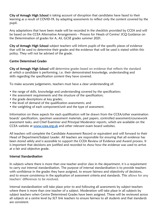City of Armagh High School is taking account of disruption that candidates have faced to their learning as a result of COVID-19, by adapting assessments to reflect only the content covered by the pupil.

Any adaptations that have been made will be recorded in the checklists provided by CCEA and will be based on the CCEA Alternative Arrangements – Process for Heads of Centre/ JCQ Guidance on the Determination of grades for A, AS, GCSE grades summer 2021.

City of Armagh High School subject teachers will inform pupils of the specific pieces of evidence that will be used to determine their grades and the evidence that will be used is stated within this policy. They will not be advised of the grade.

## Centre Determined Grades

City of Armagh High School will determine grades based on evidence that reflects the standard at which a candidate is performing, i.e. their demonstrated knowledge, understanding and skills regarding the specification content they have covered.

To make accurate judgements, teachers must have a clear understanding of:

- the range of skills, knowledge and understanding covered by the specification;
- the assessment requirements and the structure of the specification;
- the grade descriptions at key grades;
- the level of demand of the qualification assessments; and
- the weighting of each component/unit and the type of assessment.

Information on these aspects for each qualification will be drawn from the CCEA/other examination boards' specification, specimen assessment materials, past papers, controlled assessment/coursework assessment tasks, and Chief Examiner and Principal Moderator reports, which are available on the CCEA website at [www.ccea.org.uk](http://www.ccea.org.uk/) and other relevant exam board websites.

All teachers will complete the Candidate Assessment Record or equivalent and will forward to their Head of Department/Subject Leader. All teachers are responsible for ensuring that all evidence has been stored safely and is accessible to support the CCEA Review of Evidence and Award process. It is important that decisions are justified and recorded to show how the evidence was used to arrive at a fair and objective grade.

#### Internal Standardisation

In subjects where there is more than one teacher and/or class in the department, it is a requirement to carry out internal standardisation. The purpose of internal standardisation is to provide teachers with confidence in the grades they have assigned, to ensure fairness and objectivity of decisions, and to ensure consistency in the application of assessment criteria and standards. This allows for any teachers' differences to be resolved.

Internal standardisation will take place prior to and following all assessments by subject teachers where there is more than one teacher of a subject. Moderation will take place in all subjects by subject teachers when Centre Determined Grades have been assigned. These will be reviewed across all subjects at a centre level by SLT link teachers to ensure fairness to all students and that standards are consistent.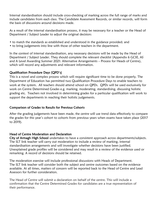Internal standardisation should include cross-checking of marking across the full range of marks and include candidates from each class. The Candidate Assessment Records, or similar records, will form the basis of discussions around decisions made.

As a result of the internal standardisation process, it may be necessary for a teacher or the Head of Department / Subject Leader to adjust the original decision:

- to match the standards as established and understood in the guidance provided; and
- to bring judgements into line with those of other teachers in the department.

In the context of internal standardisation, any necessary decisions will be made by the Head of Department / Subject Leader. They should complete the relevant checklist (Appendix 6 GCSE, AS and A Level Awarding Summer 2021: Alternative Arrangements – Process for Heads of Centre), which will record any adjustments and relevant information.

## Qualification Procedure Days (QPD's)

This is a novel and complex process which will require significant time to be done properly. The Department of Education has permitted two Qualification Procedure Days to enable teachers to work at the system. All teachers should attend school on QPDs. QPDs will be used exclusively for work on Centre Determined Grades e.g. marking, moderating, standardising, discussing holistic grading etc. Teachers not involved in determining grades for a particular qualification will work to support the departments in reaching their holistic judgements.

#### Comparison of Grades to Results for Previous Cohorts

After the grading judgements have been made, the centre will use trend data effectively to compare the grades for this year's cohort to cohorts from previous years when exams have taken place (2017 to 2019).

## Head of Centre Moderation and Declaration

City of Armagh High School undertakes to have a consistent approach across departments/subjects. The SLT link teacher will carry out moderation to include a review of marking, internal standardisation arrangements and will investigate whether decisions have been justified. Unexplained grade profiles will be considered and may result in a review of the evidence used or remarking. A record of decisions should be retained.

The moderation exercise will include professional discussions with Heads of Department. The SLT link teacher will consider both the subject and centre outcomes based on the evidence available. At all times, matters of concern will be reported back to the Head of Centre and Lead Assessors for further consideration.

The Head of Centre will submit a declaration on behalf of the centre. This will include a confirmation that the Centre Determined Grades for candidates are a true representation of their performance.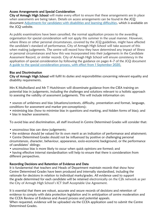## Access Arrangements and Special Consideration

City of Armagh High School will make every effort to ensure that these arrangements are in place when assessments are being taken. Details on access arrangements can be found in the JCQ document [Adjustments for candidates with disabilities and learning difficulties,](https://www.jcq.org.uk/wp-content/uploads/2020/08/AA-regs-2020-2021-version-for-website.pd) which is available on the JCQ website.

As public examinations have been cancelled, the normal application process to the awarding organisation for special consideration will not apply this summer in the usual manner. However, where illness or other personal circumstances, covered by the JCQ guidelines, might have affected the candidate's standard of performance, City of Armagh High School will take account of this when making judgements. The centre will record how they have determined any impact of illness or personal circumstances and how this was incorporated into their judgements in the Candidate Assessment Record, or similar records. City of Armagh High School will ensure consistency in the application of special consideration by following the guidance on pages 4–7 of the JCQ document [A guide to the special consideration process, with effect from 1 September 2020.](https://www.jcq.org.uk/wp-content/uploads/2020/08/A-guide-to-the-spec-con-process-202021-Website-version.pdf)

## Bias and Discrimination

City of Armagh High School will fulfil its duties and responsibilities concerning relevant equality and disability requirements.

Mrs K Mulholland and Mr T Hutchinson will disseminate guidance from the CIEA training on potential bias in judgements, including the challenges and solutions relevant to a holistic approach to assessing the validity of assessment judgements. This will include information on:

• sources of unfairness and bias (situations/contexts, difficulty, presentation and format, language, conditions for assessment and marker pre-conceptions);

• minimising bias (how to minimise bias in questions and marking, and hidden forms of bias); and

• bias in teacher assessments.

To avoid bias and discrimination, all staff involved in Centre Determined Grades will consider that:

- unconscious bias can skew judgements;
- the evidence should be valued for its own merit as an indication of performance and attainment;
- Centre Determined Grades should not be influenced by positive or challenging personal circumstances, character, behaviour, appearance, socio-economic background, or the performance of candidates' siblings;
- unconscious bias is more likely to occur when quick opinions are formed; and

• having effective internal standardisation will help to ensure that there is consideration from different perspectives.

#### Recording Decisions and Retention of Evidence and Data

It is fundamental that teachers and Heads of Department maintain records that show how Centre Determined Grades have been produced and internally standardised, including the rationale for decisions in relation to individual marks/grades. All evidence used to support the grade determined for each candidate will be retained electronically on the C2k network as per the City of Armagh High School's ICT Staff Acceptable Use Agreement.

It is essential that there are robust, accurate and secure records of decisions and retention of evidence to comply with data protection legislation and in anticipation of centre moderation and the CCEA Review of Evidence and Award process and potential appeals.

When requested, evidence will be uploaded via the CCEA application used to submit the Centre Determined Grades.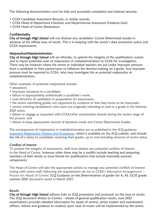The following documentation must be fully and accurately completed and retained securely:

- CCEA Candidate Assessment Records, or similar records;
- CCEA Head of Department Checklists and Departmental Assessment Evidence Grid;
- CCEA Head of Centre Declaration.

## Confidentiality

City of Armagh High School will not disclose any candidates' Centre Determined Grades in advance of the official issue of results. This is in keeping with the centre's data protection policy and CCEA requirements.

## Malpractice/Maladministration

City of Armagh High School will act ethically, to uphold the integrity of the qualifications system and to report potential cases of malpractice or maladministration to CCEA for investigation. There may be instances where the centre or individual teachers are put under improper pressure from a candidate or their parent/carer to influence the decision-making on a grade. Any improper pressure must be reported to CCEA, who may investigate this as potential malpractice or maladministration.

Other examples of potential malpractice include:

- deception;
- improper assistance to a candidate;
- failure to appropriately authenticate a candidate's work;
- over-direction of candidates in preparation for assessments;
- the centre submitting grades not supported by evidence or that they know to be inaccurate;
- centres entering candidate(s) who were not originally intending to cash in a grade in the Summer 2021 series;

• failure to engage as requested with CCEA/other examination boards during the review stage of the process; and

• failure to keep appropriate records of decisions made and Centre Determined Grades.

The consequences of malpractice or maladministration are as published in the JCQ guidance [Suspected Malpractice: Policies and Procedures](https://www.jcq.org.uk/wp-content/uploads/2020/09/Malpractice_20-21_v2-1.pdf), which is available on the JCQ website, and include the risk of a delay to candidates receiving their grades, up to and including removal of centre status.

#### Conflicts of Interest

To protect the integrity of assessments, staff must declare any potential conflicts of interest to the Head of Centre. Instances when there may be a conflict include teaching and preparing members of their family or close friends for qualifications that include internally assessed components.

The Head of Centre will take the appropriate actions to manage any potential conflicts of interest arising with centre staff, following the requirements set out in CCEA's Alternative Arrangements – Process for Heads of Centre/ JCQ Guidance on the Determination of grades for A, AS, GCSE grades summer 2021 document issued in March 2021.

## **Results**

City of Armagh High School adheres fully to JCQ procedures and protocols on the issue of results. The JCQ document Notice to Centres - release of general qualification results, June 2021 examinations provides detailed information for heads of centres, senior leaders and examination officers. Advice and guidance to students upon issue of results will be implemented by the centre.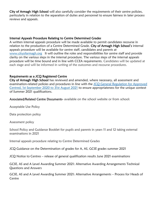City of Armagh High School will also carefully consider the requirements of their centre policies, particularly in relation to the separation of duties and personnel to ensure fairness in later process reviews and appeals.

#### Internal Appeals Procedure Relating to Centre Determined Grades

A written internal appeals procedure will be made available to permit candidates recourse in relation to the production of a Centre Determined Grade. City of Armagh High School's internal appeals procedure will be available for centre staff, candidates and parents at [www.cityofarmagh.org](http://www.cityofarmagh.org/) It will outline the roles and responsibilities for centre staff and provide clarity on the various steps in the internal procedure. The various steps of the internal appeals procedure will be time bound and in line with CCEA requirements. Candidates will be updated at each stage and will be informed in writing of the outcomes and recourse procedures.

#### Requirements as a JCQ Registered Centre

City of Armagh High School has reviewed and amended, where necessary, all assessment and examination-related policies and procedures in line with the [JCQ General Regulation for Approved](https://www.jcq.org.uk/wp-content/uploads/2020/09/Gen_regs_approved_centres_20-21_FINAL.pdf)  [Centred, 1st September 2020 to 31st August 2021](https://www.jcq.org.uk/wp-content/uploads/2020/09/Gen_regs_approved_centres_20-21_FINAL.pdf) to ensure appropriateness for the unique context of Summer 2021 qualifications.

Associated/Related Centre Documents- available on the school website or from school:

Acceptable Use Policy

Data protection policy

Assessment policy

School Policy and Guidance Booklet for pupils and parents in years 11 and 12 taking external examinations in 2021

Internal appeals procedure relating to Centre Determined Grades

JCQ Guidance on the Determination of grades for A, AS, GCSE grades summer 2021

JCQ Notice to Centres – release of general qualification results June 2021 examinations

GCSE, AS and A Level Awarding Summer 2021: Alternative Awarding Arrangements Technical Questions and Answers

GCSE, AS and A Level Awarding Summer 2021: Alternative Arrangements – Process for Heads of **Centre**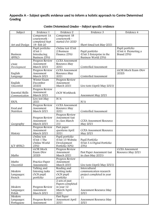## Appendix A – Subject specific evidence used to inform a holistic approach to Centre Determined Grading

| Subject                   | Evidence 1                   | Evidence 2                     | Evidence 3                                       | Evidence 4                 |
|---------------------------|------------------------------|--------------------------------|--------------------------------------------------|----------------------------|
|                           | Component 1A                 | Component 1B                   |                                                  |                            |
|                           | coursework -                 | coursework -                   |                                                  |                            |
|                           | completed Sept               | started Oct 2020               |                                                  |                            |
| Art and Design            | 19 - Feb 20                  |                                | Short timed test May 2021                        |                            |
|                           | Pupil portfolio              | Online test (Unit              |                                                  | Pupil portfolio            |
|                           | (Unit 1)                     | 2 Business                     | Pupil portfolio                                  | (Unit 4 Promoting a        |
| <b>Business</b><br>(BTEC) | Introducing<br>Business 25%) | Finance 25%)                   | (Unit 3 Enterprise in the<br>Business World 25%) | Brand 25%)                 |
|                           | Progress Review              | <b>CCEA</b> Assessment         |                                                  |                            |
| Child                     | Assessment                   | Resource May                   |                                                  |                            |
| Development               | March 2021                   | 2021                           | Controlled Assessment                            |                            |
|                           | Progress Review              | <b>CCEA</b> Assessment         |                                                  | <b>GCSE Mock Exam (Nov</b> |
| English                   | Assessment                   | Resource May                   |                                                  | 2020)                      |
| Language                  | March 2021                   | 2021                           | Controlled Assessment                            |                            |
|                           | Winter Exam                  | Progress Review                |                                                  |                            |
| English                   | December                     | Assessment                     |                                                  |                            |
| (Ascentis)                | 20202                        | March 2021                     | Live tests (April/May 2021)                      |                            |
|                           | Progress Review              |                                |                                                  |                            |
| <b>Essential Skills</b>   | Assessment                   | OCN Workbook                   |                                                  |                            |
| Communication             | March 2021                   |                                | Assessment May 2021                              |                            |
| <b>ESOL</b>               | Live test May<br>2021        | N/A                            | N/A                                              |                            |
|                           | Progress Review              | <b>CCEA</b> Assessment         |                                                  |                            |
| Food and                  | Assessment                   | Resource May                   |                                                  |                            |
| Nutrition                 | March 2021                   | 2021                           | Controlled Assessment                            |                            |
|                           |                              | Progress Review                |                                                  |                            |
|                           | Progress Review              | Assessment (sat                |                                                  |                            |
|                           | Assessment                   | in class March                 | <b>CCEA Assessment Resource</b>                  |                            |
| Geography                 | March 2021                   | 21)                            | May 2021                                         |                            |
|                           | Progress Review              | Past paper                     |                                                  |                            |
|                           | Assessment                   | questions April                | <b>CCEA</b> Assessment Resource                  |                            |
| History                   | March 2021                   | 2021                           | May 2021                                         |                            |
|                           | Online test                  | Pupil portfolio                |                                                  |                            |
|                           | (Unit 1 The<br>Online World  | (Unit 13 Website               | Pupil Portfolio                                  |                            |
| ICT (BTEC)                | 25%)                         | Development<br>Portfolio 50%)  | (Unit 3 A Digital Portfolio<br>25%)              |                            |
|                           | <b>GCSE Mock</b>             | Progress Review                |                                                  | <b>CCEA</b> Assessment     |
|                           | Exam (Nov                    | Assessment                     | Past Paper Assessment (sat                       | Resource May 2021          |
| Maths                     | 2020)                        | March 2021                     | in class May 2021)                               |                            |
|                           |                              | Progress Review                |                                                  |                            |
| Maths                     | Practice Paper               | Assessment                     |                                                  |                            |
| (Ascentis)                | Assessments                  | March 2021                     | Live tests (April/May 2021)                      |                            |
|                           | Talking and                  | Reading and                    | Intercultural                                    |                            |
| Modern                    | listening tasks              | writing tasks                  | communication research                           |                            |
| Languages:                | OCN pupil                    | OCN pupil                      | project completed in year                        |                            |
| French                    | portfolio                    | portfolio                      | 11                                               |                            |
|                           |                              | 2 sets of past                 |                                                  |                            |
| Modern                    | Progress Review              | Papers completed<br>in year 12 |                                                  |                            |
| Languages:                | Assessment                   | March/April                    | Assessment Resource May                          |                            |
| Polish                    | March 2021                   | 2021                           | 2021                                             |                            |
| Modern                    |                              | Past Paper                     |                                                  |                            |
| Languages:                | Progress Review              | Assessment April               | Assessment Resource May                          |                            |
| Portuguese                | Assessment                   | 2021                           | 2021                                             |                            |

## Centre Determined Grades – Subject specific evidence